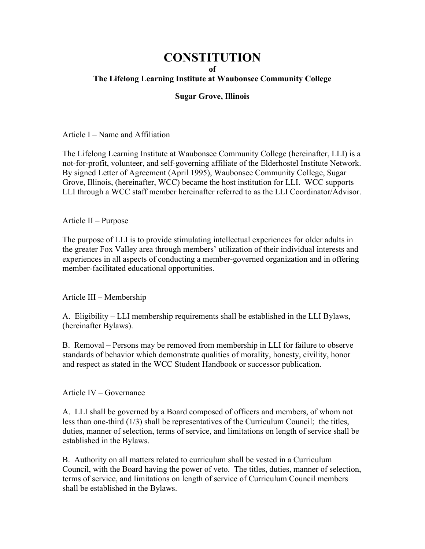## **CONSTITUTION**

## **of**

## **The Lifelong Learning Institute at Waubonsee Community College**

## **Sugar Grove, Illinois**

Article I – Name and Affiliation

The Lifelong Learning Institute at Waubonsee Community College (hereinafter, LLI) is a not-for-profit, volunteer, and self-governing affiliate of the Elderhostel Institute Network. By signed Letter of Agreement (April 1995), Waubonsee Community College, Sugar Grove, Illinois, (hereinafter, WCC) became the host institution for LLI. WCC supports LLI through a WCC staff member hereinafter referred to as the LLI Coordinator/Advisor.

Article II – Purpose

The purpose of LLI is to provide stimulating intellectual experiences for older adults in the greater Fox Valley area through members' utilization of their individual interests and experiences in all aspects of conducting a member-governed organization and in offering member-facilitated educational opportunities.

Article III – Membership

A. Eligibility – LLI membership requirements shall be established in the LLI Bylaws, (hereinafter Bylaws).

B. Removal – Persons may be removed from membership in LLI for failure to observe standards of behavior which demonstrate qualities of morality, honesty, civility, honor and respect as stated in the WCC Student Handbook or successor publication.

Article IV – Governance

A. LLI shall be governed by a Board composed of officers and members, of whom not less than one-third (1/3) shall be representatives of the Curriculum Council; the titles, duties, manner of selection, terms of service, and limitations on length of service shall be established in the Bylaws.

B. Authority on all matters related to curriculum shall be vested in a Curriculum Council, with the Board having the power of veto. The titles, duties, manner of selection, terms of service, and limitations on length of service of Curriculum Council members shall be established in the Bylaws.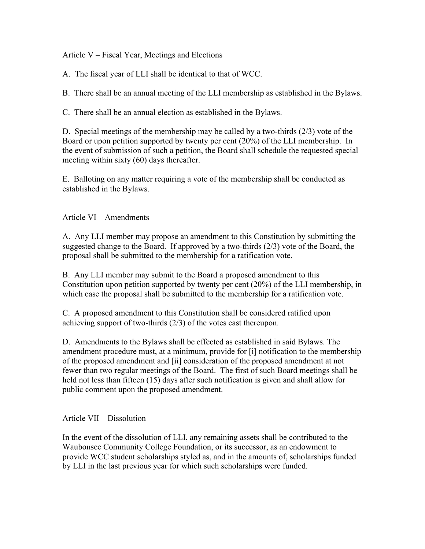Article V – Fiscal Year, Meetings and Elections

A. The fiscal year of LLI shall be identical to that of WCC.

B. There shall be an annual meeting of the LLI membership as established in the Bylaws.

C. There shall be an annual election as established in the Bylaws.

D. Special meetings of the membership may be called by a two-thirds (2/3) vote of the Board or upon petition supported by twenty per cent (20%) of the LLI membership. In the event of submission of such a petition, the Board shall schedule the requested special meeting within sixty (60) days thereafter.

E. Balloting on any matter requiring a vote of the membership shall be conducted as established in the Bylaws.

Article VI – Amendments

A. Any LLI member may propose an amendment to this Constitution by submitting the suggested change to the Board. If approved by a two-thirds (2/3) vote of the Board, the proposal shall be submitted to the membership for a ratification vote.

B. Any LLI member may submit to the Board a proposed amendment to this Constitution upon petition supported by twenty per cent (20%) of the LLI membership, in which case the proposal shall be submitted to the membership for a ratification vote.

C. A proposed amendment to this Constitution shall be considered ratified upon achieving support of two-thirds (2/3) of the votes cast thereupon.

D. Amendments to the Bylaws shall be effected as established in said Bylaws. The amendment procedure must, at a minimum, provide for [i] notification to the membership of the proposed amendment and [ii] consideration of the proposed amendment at not fewer than two regular meetings of the Board. The first of such Board meetings shall be held not less than fifteen (15) days after such notification is given and shall allow for public comment upon the proposed amendment.

Article VII – Dissolution

In the event of the dissolution of LLI, any remaining assets shall be contributed to the Waubonsee Community College Foundation, or its successor, as an endowment to provide WCC student scholarships styled as, and in the amounts of, scholarships funded by LLI in the last previous year for which such scholarships were funded.